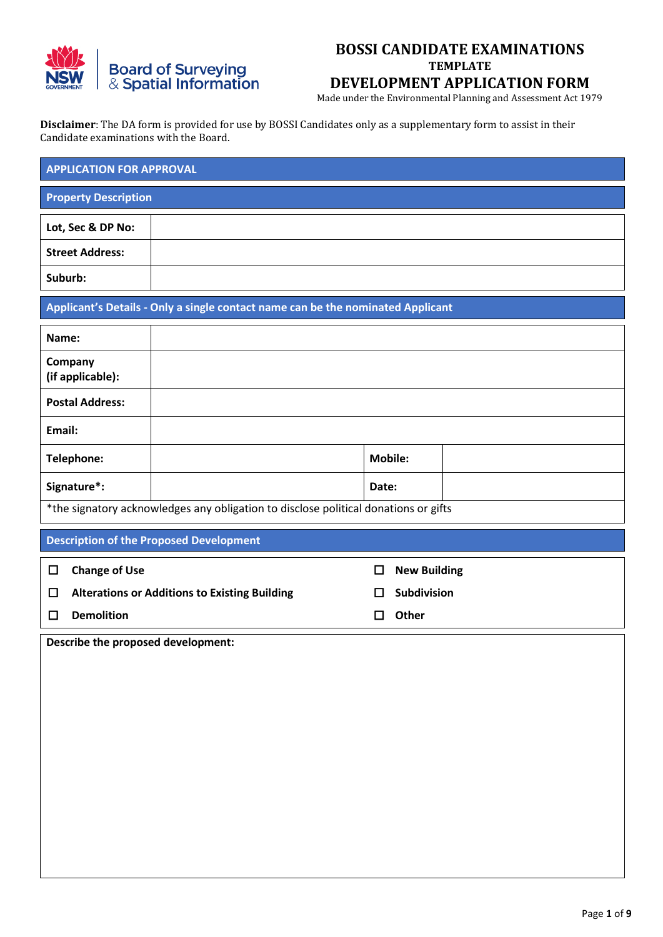

Made under the Environmental Planning and Assessment Act 1979

**Disclaimer**: The DA form is provided for use by BOSSI Candidates only as a supplementary form to assist in their Candidate examinations with the Board.

| <b>APPLICATION FOR APPROVAL</b> |  |  |  |  |  |  |
|---------------------------------|--|--|--|--|--|--|
| <b>Property Description</b>     |  |  |  |  |  |  |
| Lot, Sec & DP No:               |  |  |  |  |  |  |
| <b>Street Address:</b>          |  |  |  |  |  |  |
| Suburb:                         |  |  |  |  |  |  |

**Applicant's Details - Only a single contact name can be the nominated Applicant**

| Name:                                                                               |  |                |  |  |  |
|-------------------------------------------------------------------------------------|--|----------------|--|--|--|
| Company<br>(if applicable):                                                         |  |                |  |  |  |
| <b>Postal Address:</b>                                                              |  |                |  |  |  |
| Email:                                                                              |  |                |  |  |  |
| Telephone:                                                                          |  | <b>Mobile:</b> |  |  |  |
| Signature*:                                                                         |  | Date:          |  |  |  |
| *the signatory acknowledges any obligation to disclose political donations or gifts |  |                |  |  |  |

**Description of the Proposed Development**

| $\Box$ | <b>Change of Use</b>                                 | $\Box$       | <b>New Building</b> |
|--------|------------------------------------------------------|--------------|---------------------|
| $\Box$ | <b>Alterations or Additions to Existing Building</b> | $\mathbf{L}$ | <b>Subdivision</b>  |
|        | <b>Demolition</b>                                    | П            | Other               |
|        |                                                      |              |                     |

**Describe the proposed development:**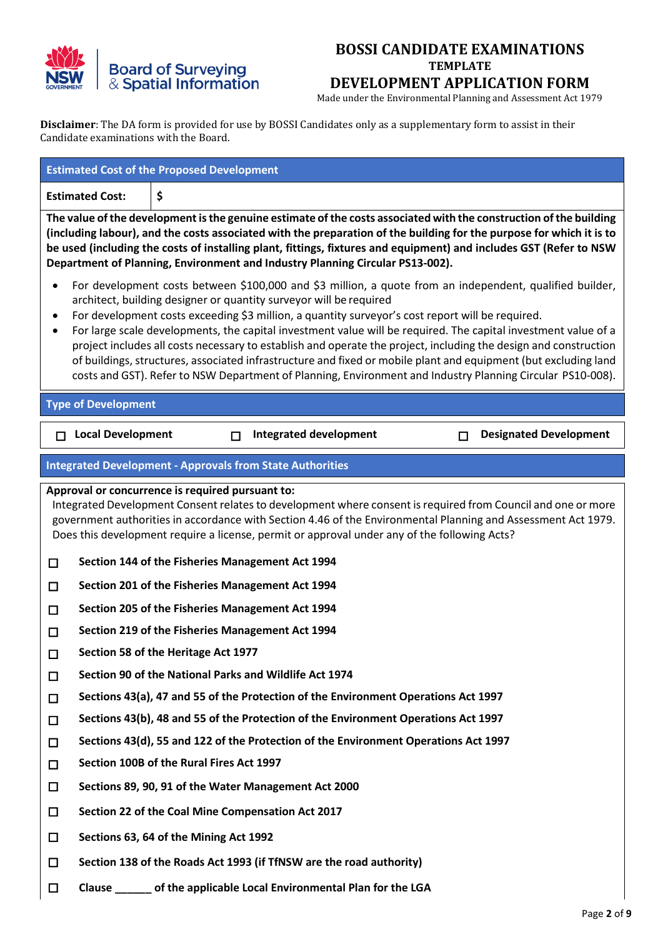

Made under the Environmental Planning and Assessment Act 1979

**Disclaimer**: The DA form is provided for use by BOSSI Candidates only as a supplementary form to assist in their Candidate examinations with the Board.

| <b>Estimated Cost:</b><br>\$<br>The value of the development is the genuine estimate of the costs associated with the construction of the building<br>(including labour), and the costs associated with the preparation of the building for the purpose for which it is to<br>be used (including the costs of installing plant, fittings, fixtures and equipment) and includes GST (Refer to NSW<br>Department of Planning, Environment and Industry Planning Circular PS13-002).<br>For development costs between \$100,000 and \$3 million, a quote from an independent, qualified builder,<br>٠<br>architect, building designer or quantity surveyor will be required<br>For development costs exceeding \$3 million, a quantity surveyor's cost report will be required.<br>٠<br>For large scale developments, the capital investment value will be required. The capital investment value of a<br>٠<br>project includes all costs necessary to establish and operate the project, including the design and construction<br>of buildings, structures, associated infrastructure and fixed or mobile plant and equipment (but excluding land<br>costs and GST). Refer to NSW Department of Planning, Environment and Industry Planning Circular PS10-008).<br><b>Type of Development</b><br><b>Local Development</b><br><b>Integrated development</b><br><b>Designated Development</b><br>п<br>П<br>$\Box$<br><b>Integrated Development - Approvals from State Authorities</b><br>Approval or concurrence is required pursuant to:<br>Integrated Development Consent relates to development where consent is required from Council and one or more<br>government authorities in accordance with Section 4.46 of the Environmental Planning and Assessment Act 1979.<br>Does this development require a license, permit or approval under any of the following Acts?<br>Section 144 of the Fisheries Management Act 1994<br>$\Box$<br>Section 201 of the Fisheries Management Act 1994<br>$\Box$<br>Section 205 of the Fisheries Management Act 1994<br>$\Box$<br>Section 219 of the Fisheries Management Act 1994<br>□<br>Section 58 of the Heritage Act 1977<br>$\Box$<br>Section 90 of the National Parks and Wildlife Act 1974<br>$\Box$<br>Sections 43(a), 47 and 55 of the Protection of the Environment Operations Act 1997<br>$\Box$<br>Sections 43(b), 48 and 55 of the Protection of the Environment Operations Act 1997<br>$\Box$<br>Sections 43(d), 55 and 122 of the Protection of the Environment Operations Act 1997<br>$\Box$<br>Section 100B of the Rural Fires Act 1997 |                  | <b>Estimated Cost of the Proposed Development</b> |  |  |  |  |  |  |
|---------------------------------------------------------------------------------------------------------------------------------------------------------------------------------------------------------------------------------------------------------------------------------------------------------------------------------------------------------------------------------------------------------------------------------------------------------------------------------------------------------------------------------------------------------------------------------------------------------------------------------------------------------------------------------------------------------------------------------------------------------------------------------------------------------------------------------------------------------------------------------------------------------------------------------------------------------------------------------------------------------------------------------------------------------------------------------------------------------------------------------------------------------------------------------------------------------------------------------------------------------------------------------------------------------------------------------------------------------------------------------------------------------------------------------------------------------------------------------------------------------------------------------------------------------------------------------------------------------------------------------------------------------------------------------------------------------------------------------------------------------------------------------------------------------------------------------------------------------------------------------------------------------------------------------------------------------------------------------------------------------------------------------------------------------------------------------------------------------------------------------------------------------------------------------------------------------------------------------------------------------------------------------------------------------------------------------------------------------------------------------------------------------------------------------------------------------------------------------------------------------------------------------------------------------------------------------------------|------------------|---------------------------------------------------|--|--|--|--|--|--|
|                                                                                                                                                                                                                                                                                                                                                                                                                                                                                                                                                                                                                                                                                                                                                                                                                                                                                                                                                                                                                                                                                                                                                                                                                                                                                                                                                                                                                                                                                                                                                                                                                                                                                                                                                                                                                                                                                                                                                                                                                                                                                                                                                                                                                                                                                                                                                                                                                                                                                                                                                                                             |                  |                                                   |  |  |  |  |  |  |
|                                                                                                                                                                                                                                                                                                                                                                                                                                                                                                                                                                                                                                                                                                                                                                                                                                                                                                                                                                                                                                                                                                                                                                                                                                                                                                                                                                                                                                                                                                                                                                                                                                                                                                                                                                                                                                                                                                                                                                                                                                                                                                                                                                                                                                                                                                                                                                                                                                                                                                                                                                                             |                  |                                                   |  |  |  |  |  |  |
|                                                                                                                                                                                                                                                                                                                                                                                                                                                                                                                                                                                                                                                                                                                                                                                                                                                                                                                                                                                                                                                                                                                                                                                                                                                                                                                                                                                                                                                                                                                                                                                                                                                                                                                                                                                                                                                                                                                                                                                                                                                                                                                                                                                                                                                                                                                                                                                                                                                                                                                                                                                             |                  |                                                   |  |  |  |  |  |  |
|                                                                                                                                                                                                                                                                                                                                                                                                                                                                                                                                                                                                                                                                                                                                                                                                                                                                                                                                                                                                                                                                                                                                                                                                                                                                                                                                                                                                                                                                                                                                                                                                                                                                                                                                                                                                                                                                                                                                                                                                                                                                                                                                                                                                                                                                                                                                                                                                                                                                                                                                                                                             |                  |                                                   |  |  |  |  |  |  |
|                                                                                                                                                                                                                                                                                                                                                                                                                                                                                                                                                                                                                                                                                                                                                                                                                                                                                                                                                                                                                                                                                                                                                                                                                                                                                                                                                                                                                                                                                                                                                                                                                                                                                                                                                                                                                                                                                                                                                                                                                                                                                                                                                                                                                                                                                                                                                                                                                                                                                                                                                                                             |                  |                                                   |  |  |  |  |  |  |
|                                                                                                                                                                                                                                                                                                                                                                                                                                                                                                                                                                                                                                                                                                                                                                                                                                                                                                                                                                                                                                                                                                                                                                                                                                                                                                                                                                                                                                                                                                                                                                                                                                                                                                                                                                                                                                                                                                                                                                                                                                                                                                                                                                                                                                                                                                                                                                                                                                                                                                                                                                                             |                  |                                                   |  |  |  |  |  |  |
|                                                                                                                                                                                                                                                                                                                                                                                                                                                                                                                                                                                                                                                                                                                                                                                                                                                                                                                                                                                                                                                                                                                                                                                                                                                                                                                                                                                                                                                                                                                                                                                                                                                                                                                                                                                                                                                                                                                                                                                                                                                                                                                                                                                                                                                                                                                                                                                                                                                                                                                                                                                             |                  |                                                   |  |  |  |  |  |  |
|                                                                                                                                                                                                                                                                                                                                                                                                                                                                                                                                                                                                                                                                                                                                                                                                                                                                                                                                                                                                                                                                                                                                                                                                                                                                                                                                                                                                                                                                                                                                                                                                                                                                                                                                                                                                                                                                                                                                                                                                                                                                                                                                                                                                                                                                                                                                                                                                                                                                                                                                                                                             |                  |                                                   |  |  |  |  |  |  |
|                                                                                                                                                                                                                                                                                                                                                                                                                                                                                                                                                                                                                                                                                                                                                                                                                                                                                                                                                                                                                                                                                                                                                                                                                                                                                                                                                                                                                                                                                                                                                                                                                                                                                                                                                                                                                                                                                                                                                                                                                                                                                                                                                                                                                                                                                                                                                                                                                                                                                                                                                                                             |                  |                                                   |  |  |  |  |  |  |
|                                                                                                                                                                                                                                                                                                                                                                                                                                                                                                                                                                                                                                                                                                                                                                                                                                                                                                                                                                                                                                                                                                                                                                                                                                                                                                                                                                                                                                                                                                                                                                                                                                                                                                                                                                                                                                                                                                                                                                                                                                                                                                                                                                                                                                                                                                                                                                                                                                                                                                                                                                                             |                  |                                                   |  |  |  |  |  |  |
|                                                                                                                                                                                                                                                                                                                                                                                                                                                                                                                                                                                                                                                                                                                                                                                                                                                                                                                                                                                                                                                                                                                                                                                                                                                                                                                                                                                                                                                                                                                                                                                                                                                                                                                                                                                                                                                                                                                                                                                                                                                                                                                                                                                                                                                                                                                                                                                                                                                                                                                                                                                             |                  |                                                   |  |  |  |  |  |  |
|                                                                                                                                                                                                                                                                                                                                                                                                                                                                                                                                                                                                                                                                                                                                                                                                                                                                                                                                                                                                                                                                                                                                                                                                                                                                                                                                                                                                                                                                                                                                                                                                                                                                                                                                                                                                                                                                                                                                                                                                                                                                                                                                                                                                                                                                                                                                                                                                                                                                                                                                                                                             |                  |                                                   |  |  |  |  |  |  |
|                                                                                                                                                                                                                                                                                                                                                                                                                                                                                                                                                                                                                                                                                                                                                                                                                                                                                                                                                                                                                                                                                                                                                                                                                                                                                                                                                                                                                                                                                                                                                                                                                                                                                                                                                                                                                                                                                                                                                                                                                                                                                                                                                                                                                                                                                                                                                                                                                                                                                                                                                                                             |                  |                                                   |  |  |  |  |  |  |
|                                                                                                                                                                                                                                                                                                                                                                                                                                                                                                                                                                                                                                                                                                                                                                                                                                                                                                                                                                                                                                                                                                                                                                                                                                                                                                                                                                                                                                                                                                                                                                                                                                                                                                                                                                                                                                                                                                                                                                                                                                                                                                                                                                                                                                                                                                                                                                                                                                                                                                                                                                                             |                  |                                                   |  |  |  |  |  |  |
|                                                                                                                                                                                                                                                                                                                                                                                                                                                                                                                                                                                                                                                                                                                                                                                                                                                                                                                                                                                                                                                                                                                                                                                                                                                                                                                                                                                                                                                                                                                                                                                                                                                                                                                                                                                                                                                                                                                                                                                                                                                                                                                                                                                                                                                                                                                                                                                                                                                                                                                                                                                             |                  |                                                   |  |  |  |  |  |  |
| Sections 89, 90, 91 of the Water Management Act 2000                                                                                                                                                                                                                                                                                                                                                                                                                                                                                                                                                                                                                                                                                                                                                                                                                                                                                                                                                                                                                                                                                                                                                                                                                                                                                                                                                                                                                                                                                                                                                                                                                                                                                                                                                                                                                                                                                                                                                                                                                                                                                                                                                                                                                                                                                                                                                                                                                                                                                                                                        |                  |                                                   |  |  |  |  |  |  |
| Section 22 of the Coal Mine Compensation Act 2017                                                                                                                                                                                                                                                                                                                                                                                                                                                                                                                                                                                                                                                                                                                                                                                                                                                                                                                                                                                                                                                                                                                                                                                                                                                                                                                                                                                                                                                                                                                                                                                                                                                                                                                                                                                                                                                                                                                                                                                                                                                                                                                                                                                                                                                                                                                                                                                                                                                                                                                                           | $\Box$           |                                                   |  |  |  |  |  |  |
| Sections 63, 64 of the Mining Act 1992                                                                                                                                                                                                                                                                                                                                                                                                                                                                                                                                                                                                                                                                                                                                                                                                                                                                                                                                                                                                                                                                                                                                                                                                                                                                                                                                                                                                                                                                                                                                                                                                                                                                                                                                                                                                                                                                                                                                                                                                                                                                                                                                                                                                                                                                                                                                                                                                                                                                                                                                                      | $\Box$           |                                                   |  |  |  |  |  |  |
| Section 138 of the Roads Act 1993 (if TfNSW are the road authority)                                                                                                                                                                                                                                                                                                                                                                                                                                                                                                                                                                                                                                                                                                                                                                                                                                                                                                                                                                                                                                                                                                                                                                                                                                                                                                                                                                                                                                                                                                                                                                                                                                                                                                                                                                                                                                                                                                                                                                                                                                                                                                                                                                                                                                                                                                                                                                                                                                                                                                                         | $\Box$           |                                                   |  |  |  |  |  |  |
| Clause _______ of the applicable Local Environmental Plan for the LGA<br>$\Box$                                                                                                                                                                                                                                                                                                                                                                                                                                                                                                                                                                                                                                                                                                                                                                                                                                                                                                                                                                                                                                                                                                                                                                                                                                                                                                                                                                                                                                                                                                                                                                                                                                                                                                                                                                                                                                                                                                                                                                                                                                                                                                                                                                                                                                                                                                                                                                                                                                                                                                             | $\Box$<br>$\Box$ |                                                   |  |  |  |  |  |  |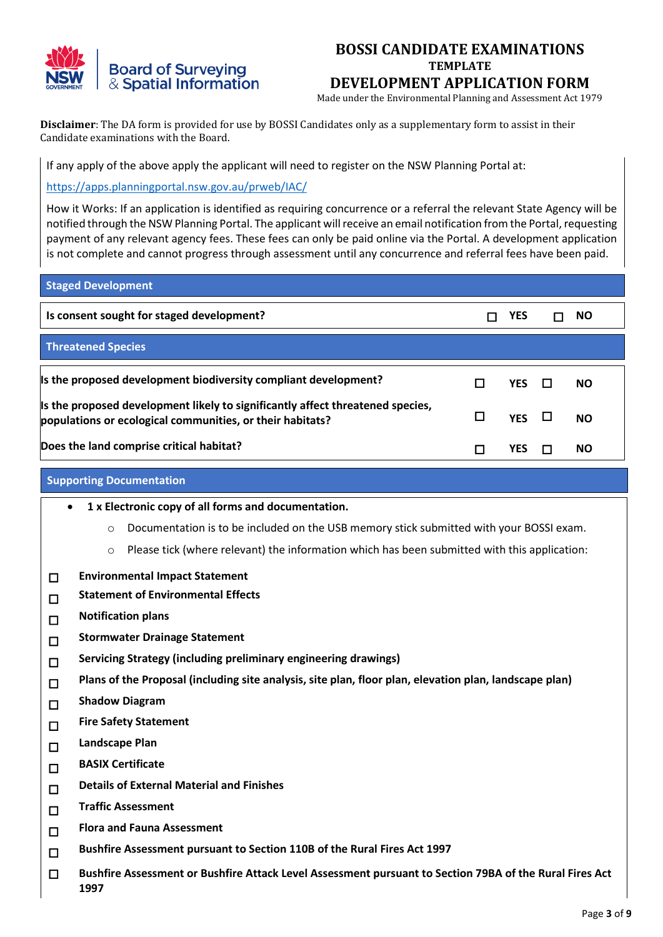

Made under the Environmental Planning and Assessment Act 1979

**Disclaimer**: The DA form is provided for use by BOSSI Candidates only as a supplementary form to assist in their Candidate examinations with the Board.

If any apply of the above apply the applicant will need to register on the NSW Planning Portal at:

<https://apps.planningportal.nsw.gov.au/prweb/IAC/>

How it Works: If an application is identified as requiring concurrence or a referral the relevant State Agency will be notified through the NSW Planning Portal. The applicant will receive an email notification from the Portal, requesting payment of any relevant agency fees. These fees can only be paid online via the Portal. A development application is not complete and cannot progress through assessment until any concurrence and referral fees have been paid.

| <b>Staged Development</b>                                                                                                                   |   |            |           |
|---------------------------------------------------------------------------------------------------------------------------------------------|---|------------|-----------|
| Is consent sought for staged development?                                                                                                   |   | YES        | <b>NO</b> |
| <b>Threatened Species</b>                                                                                                                   |   |            |           |
| Is the proposed development biodiversity compliant development?                                                                             |   | <b>YES</b> | <b>NO</b> |
| Is the proposed development likely to significantly affect threatened species,<br>populations or ecological communities, or their habitats? | □ | YES $\Box$ | <b>NO</b> |
| Does the land comprise critical habitat?                                                                                                    |   | YES        | NO.       |

#### **Supporting Documentation**

- **1 x Electronic copy of all forms and documentation.**
	- o Documentation is to be included on the USB memory stick submitted with your BOSSI exam.
	- o Please tick (where relevant) the information which has been submitted with this application:
- **Environmental Impact Statement**
- **Statement of Environmental Effects**
- **Notification plans**
- **Stormwater Drainage Statement**
- **Servicing Strategy (including preliminary engineering drawings)**
- **Plans of the Proposal (including site analysis, site plan, floor plan, elevation plan, landscape plan)**
- **Shadow Diagram**
- **Fire Safety Statement**
- **Landscape Plan**
- **BASIX Certificate**
- **Details of External Material and Finishes**
- **Traffic Assessment**
- **Flora and Fauna Assessment**
- **Bushfire Assessment pursuant to Section 110B of the Rural Fires Act 1997**
- **Bushfire Assessment or Bushfire Attack Level Assessment pursuant to Section 79BA of the Rural Fires Act 1997**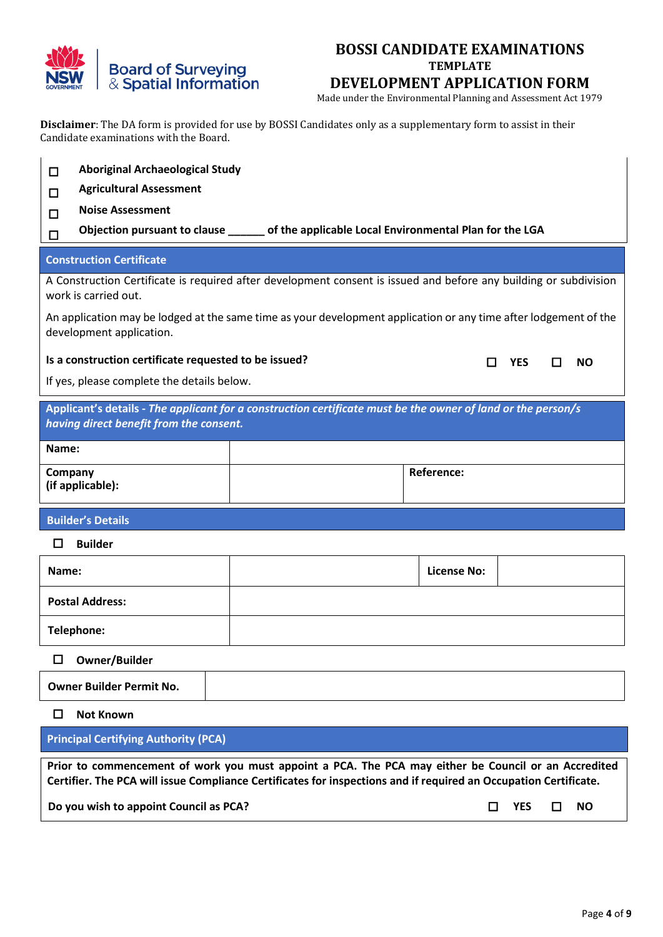

Made under the Environmental Planning and Assessment Act 1979

**Disclaimer**: The DA form is provided for use by BOSSI Candidates only as a supplementary form to assist in their Candidate examinations with the Board.

| □                                                     | <b>Aboriginal Archaeological Study</b>                                                                            |  |  |  |  |  |  |  |
|-------------------------------------------------------|-------------------------------------------------------------------------------------------------------------------|--|--|--|--|--|--|--|
| <b>Agricultural Assessment</b><br>П                   |                                                                                                                   |  |  |  |  |  |  |  |
| <b>Noise Assessment</b><br>п                          |                                                                                                                   |  |  |  |  |  |  |  |
| □                                                     | Objection pursuant to clause _______ of the applicable Local Environmental Plan for the LGA                       |  |  |  |  |  |  |  |
| <b>Construction Certificate</b>                       |                                                                                                                   |  |  |  |  |  |  |  |
| work is carried out.                                  | A Construction Certificate is required after development consent is issued and before any building or subdivision |  |  |  |  |  |  |  |
| development application.                              | An application may be lodged at the same time as your development application or any time after lodgement of the  |  |  |  |  |  |  |  |
| Is a construction certificate requested to be issued? | <b>YES</b><br><b>NO</b>                                                                                           |  |  |  |  |  |  |  |
| If yes, please complete the details below.            |                                                                                                                   |  |  |  |  |  |  |  |
| having direct benefit from the consent.               | Applicant's details - The applicant for a construction certificate must be the owner of land or the person/s      |  |  |  |  |  |  |  |
| Name:                                                 |                                                                                                                   |  |  |  |  |  |  |  |
| <b>Reference:</b><br>Company<br>(if applicable):      |                                                                                                                   |  |  |  |  |  |  |  |
| <b>Builder's Details</b>                              |                                                                                                                   |  |  |  |  |  |  |  |
| <b>Builder</b><br>ΙI                                  |                                                                                                                   |  |  |  |  |  |  |  |
| Name:                                                 | <b>License No:</b>                                                                                                |  |  |  |  |  |  |  |

**Telephone:**

**Postal Address:**

**Owner/Builder**

### **Not Known**

**Principal Certifying Authority (PCA)**

**Prior to commencement of work you must appoint a PCA. The PCA may either be Council or an Accredited Certifier. The PCA will issue Compliance Certificates for inspections and if required an Occupation Certificate.**

**Do you wish to appoint Council as PCA?** *NO NO NO NO NO NO*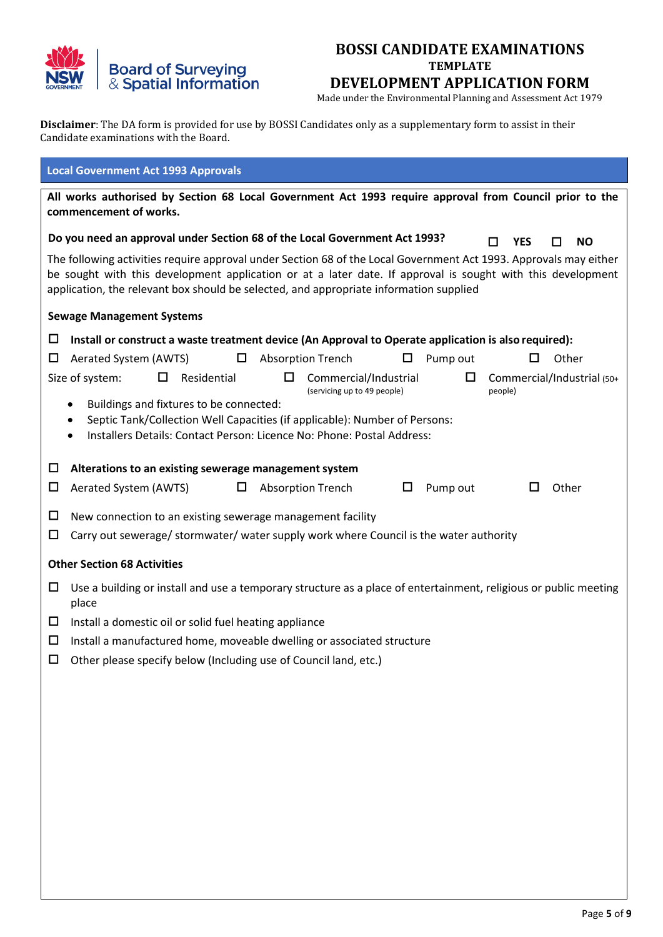

Made under the Environmental Planning and Assessment Act 1979

**Disclaimer**: The DA form is provided for use by BOSSI Candidates only as a supplementary form to assist in their Candidate examinations with the Board.

| <b>Local Government Act 1993 Approvals</b>                                                                                                                                                                                                                                                                                                                                            |  |  |  |  |  |  |
|---------------------------------------------------------------------------------------------------------------------------------------------------------------------------------------------------------------------------------------------------------------------------------------------------------------------------------------------------------------------------------------|--|--|--|--|--|--|
| All works authorised by Section 68 Local Government Act 1993 require approval from Council prior to the<br>commencement of works.                                                                                                                                                                                                                                                     |  |  |  |  |  |  |
| Do you need an approval under Section 68 of the Local Government Act 1993?<br><b>YES</b><br><b>NO</b><br>H                                                                                                                                                                                                                                                                            |  |  |  |  |  |  |
| The following activities require approval under Section 68 of the Local Government Act 1993. Approvals may either<br>be sought with this development application or at a later date. If approval is sought with this development<br>application, the relevant box should be selected, and appropriate information supplied                                                            |  |  |  |  |  |  |
| <b>Sewage Management Systems</b>                                                                                                                                                                                                                                                                                                                                                      |  |  |  |  |  |  |
| $\Box$<br>Install or construct a waste treatment device (An Approval to Operate application is also required):                                                                                                                                                                                                                                                                        |  |  |  |  |  |  |
| <b>Absorption Trench</b><br>Other<br>$\Box$<br>Aerated System (AWTS)<br>$\Box$<br>$\Box$<br>Pump out<br>ப                                                                                                                                                                                                                                                                             |  |  |  |  |  |  |
| Residential<br>□<br>Commercial/Industrial<br>$\Box$<br>Commercial/Industrial (50+<br>Size of system:<br>□<br>(servicing up to 49 people)<br>people)<br>Buildings and fixtures to be connected:<br>$\bullet$<br>Septic Tank/Collection Well Capacities (if applicable): Number of Persons:<br>٠<br>Installers Details: Contact Person: Licence No: Phone: Postal Address:<br>$\bullet$ |  |  |  |  |  |  |
| □<br>Alterations to an existing sewerage management system                                                                                                                                                                                                                                                                                                                            |  |  |  |  |  |  |
| Pump out<br>Other<br>□<br>Aerated System (AWTS)<br>□<br>Absorption Trench<br>$\Box$<br>ப                                                                                                                                                                                                                                                                                              |  |  |  |  |  |  |
| □<br>New connection to an existing sewerage management facility<br>□<br>Carry out sewerage/ stormwater/ water supply work where Council is the water authority                                                                                                                                                                                                                        |  |  |  |  |  |  |
| <b>Other Section 68 Activities</b>                                                                                                                                                                                                                                                                                                                                                    |  |  |  |  |  |  |
| □<br>Use a building or install and use a temporary structure as a place of entertainment, religious or public meeting<br>place                                                                                                                                                                                                                                                        |  |  |  |  |  |  |
| $\Box$<br>Install a domestic oil or solid fuel heating appliance                                                                                                                                                                                                                                                                                                                      |  |  |  |  |  |  |
| □<br>Install a manufactured home, moveable dwelling or associated structure                                                                                                                                                                                                                                                                                                           |  |  |  |  |  |  |
| Other please specify below (Including use of Council land, etc.)<br>◻                                                                                                                                                                                                                                                                                                                 |  |  |  |  |  |  |
|                                                                                                                                                                                                                                                                                                                                                                                       |  |  |  |  |  |  |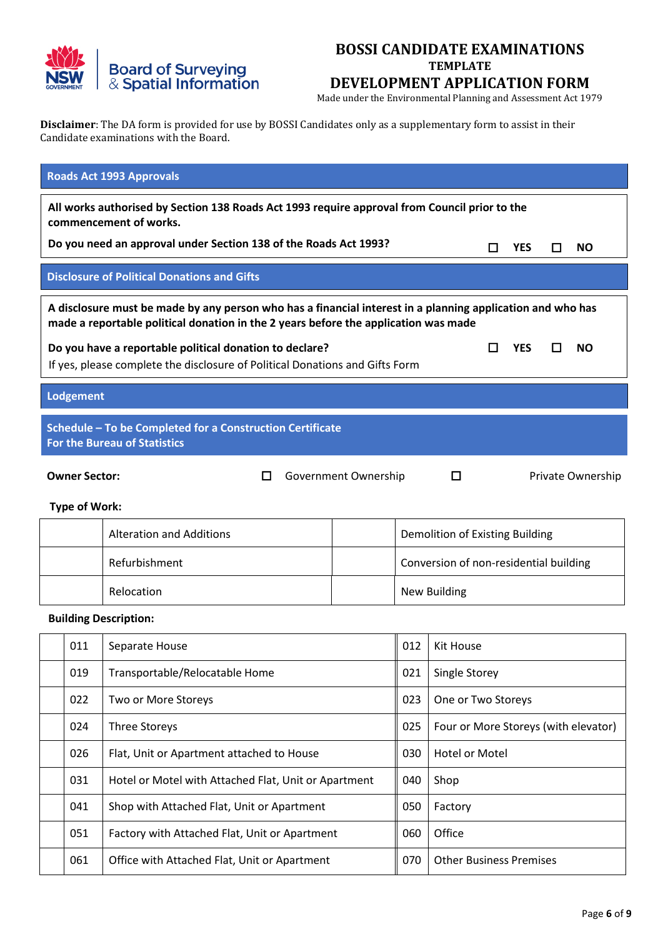

Made under the Environmental Planning and Assessment Act 1979

**Disclaimer**: The DA form is provided for use by BOSSI Candidates only as a supplementary form to assist in their Candidate examinations with the Board.

| <b>Roads Act 1993 Approvals</b>                                                                                                                                                             |                                                                                                                                                                                                   |                                                                              |                      |                                |                                        |            |   |                   |
|---------------------------------------------------------------------------------------------------------------------------------------------------------------------------------------------|---------------------------------------------------------------------------------------------------------------------------------------------------------------------------------------------------|------------------------------------------------------------------------------|----------------------|--------------------------------|----------------------------------------|------------|---|-------------------|
| All works authorised by Section 138 Roads Act 1993 require approval from Council prior to the<br>commencement of works.<br>Do you need an approval under Section 138 of the Roads Act 1993? |                                                                                                                                                                                                   |                                                                              |                      |                                |                                        |            |   |                   |
|                                                                                                                                                                                             | <b>YES</b><br><b>NO</b><br>$\Box$<br>□<br><b>Disclosure of Political Donations and Gifts</b>                                                                                                      |                                                                              |                      |                                |                                        |            |   |                   |
|                                                                                                                                                                                             |                                                                                                                                                                                                   |                                                                              |                      |                                |                                        |            |   |                   |
|                                                                                                                                                                                             | A disclosure must be made by any person who has a financial interest in a planning application and who has<br>made a reportable political donation in the 2 years before the application was made |                                                                              |                      |                                |                                        |            |   |                   |
|                                                                                                                                                                                             |                                                                                                                                                                                                   | Do you have a reportable political donation to declare?                      |                      |                                | $\blacksquare$                         | <b>YES</b> | П | <b>NO</b>         |
|                                                                                                                                                                                             |                                                                                                                                                                                                   | If yes, please complete the disclosure of Political Donations and Gifts Form |                      |                                |                                        |            |   |                   |
| Lodgement                                                                                                                                                                                   |                                                                                                                                                                                                   |                                                                              |                      |                                |                                        |            |   |                   |
|                                                                                                                                                                                             |                                                                                                                                                                                                   | Schedule - To be Completed for a Construction Certificate                    |                      |                                |                                        |            |   |                   |
|                                                                                                                                                                                             |                                                                                                                                                                                                   | <b>For the Bureau of Statistics</b>                                          |                      |                                |                                        |            |   |                   |
| <b>Owner Sector:</b>                                                                                                                                                                        |                                                                                                                                                                                                   | $\Box$                                                                       | Government Ownership |                                | $\Box$                                 |            |   | Private Ownership |
| <b>Type of Work:</b>                                                                                                                                                                        |                                                                                                                                                                                                   |                                                                              |                      |                                |                                        |            |   |                   |
|                                                                                                                                                                                             |                                                                                                                                                                                                   | <b>Alteration and Additions</b>                                              |                      |                                | Demolition of Existing Building        |            |   |                   |
|                                                                                                                                                                                             |                                                                                                                                                                                                   | Refurbishment                                                                |                      |                                | Conversion of non-residential building |            |   |                   |
|                                                                                                                                                                                             |                                                                                                                                                                                                   | Relocation                                                                   |                      | <b>New Building</b>            |                                        |            |   |                   |
|                                                                                                                                                                                             |                                                                                                                                                                                                   | <b>Building Description:</b>                                                 |                      |                                |                                        |            |   |                   |
|                                                                                                                                                                                             | 011                                                                                                                                                                                               | Separate House                                                               |                      | 012                            | Kit House                              |            |   |                   |
|                                                                                                                                                                                             | 019                                                                                                                                                                                               | Transportable/Relocatable Home                                               |                      | 021                            | Single Storey                          |            |   |                   |
|                                                                                                                                                                                             | 022                                                                                                                                                                                               | Two or More Storeys                                                          |                      | 023                            | One or Two Storeys                     |            |   |                   |
|                                                                                                                                                                                             | 024                                                                                                                                                                                               | <b>Three Storeys</b>                                                         |                      | 025                            | Four or More Storeys (with elevator)   |            |   |                   |
|                                                                                                                                                                                             | 026                                                                                                                                                                                               | Flat, Unit or Apartment attached to House                                    |                      |                                | <b>Hotel or Motel</b>                  |            |   |                   |
|                                                                                                                                                                                             | 031                                                                                                                                                                                               | Hotel or Motel with Attached Flat, Unit or Apartment                         |                      | 040                            | Shop                                   |            |   |                   |
|                                                                                                                                                                                             | 041                                                                                                                                                                                               | Shop with Attached Flat, Unit or Apartment                                   |                      | 050                            | Factory                                |            |   |                   |
|                                                                                                                                                                                             | 051                                                                                                                                                                                               | Factory with Attached Flat, Unit or Apartment                                |                      | 060                            | Office                                 |            |   |                   |
|                                                                                                                                                                                             | 061                                                                                                                                                                                               | Office with Attached Flat, Unit or Apartment                                 | 070                  | <b>Other Business Premises</b> |                                        |            |   |                   |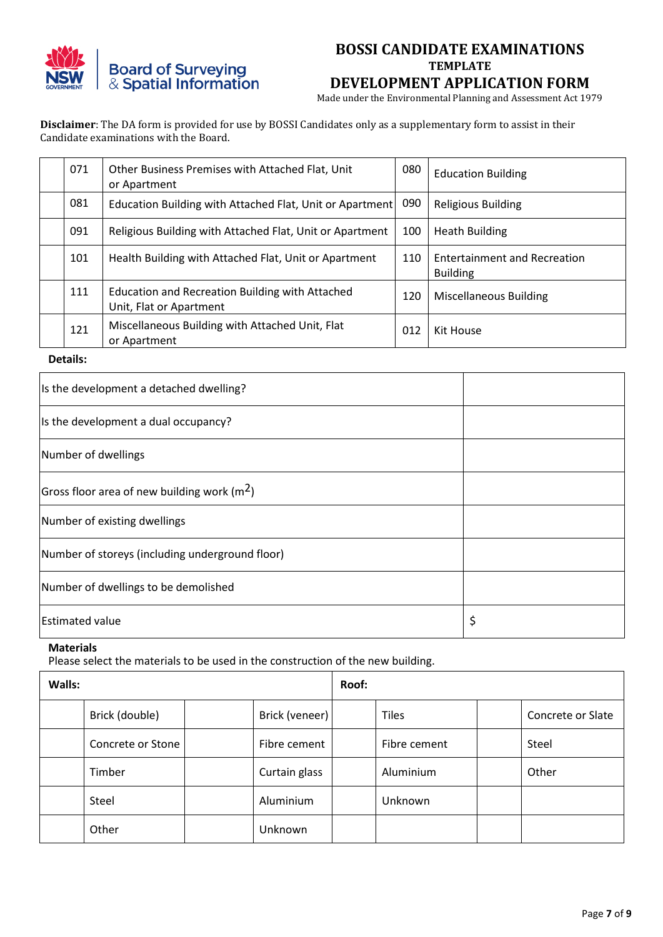

Made under the Environmental Planning and Assessment Act 1979

**Disclaimer**: The DA form is provided for use by BOSSI Candidates only as a supplementary form to assist in their Candidate examinations with the Board.

| 071 | Other Business Premises with Attached Flat, Unit<br>or Apartment           | 080 | <b>Education Building</b>                              |
|-----|----------------------------------------------------------------------------|-----|--------------------------------------------------------|
| 081 | Education Building with Attached Flat, Unit or Apartment                   | 090 | <b>Religious Building</b>                              |
| 091 | Religious Building with Attached Flat, Unit or Apartment                   | 100 | <b>Heath Building</b>                                  |
| 101 | Health Building with Attached Flat, Unit or Apartment                      | 110 | <b>Entertainment and Recreation</b><br><b>Building</b> |
| 111 | Education and Recreation Building with Attached<br>Unit, Flat or Apartment | 120 | <b>Miscellaneous Building</b>                          |
| 121 | Miscellaneous Building with Attached Unit, Flat<br>or Apartment            | 012 | Kit House                                              |

**Details:**

| Is the development a detached dwelling?         |    |
|-------------------------------------------------|----|
| Is the development a dual occupancy?            |    |
| Number of dwellings                             |    |
| Gross floor area of new building work ( $m2$ )  |    |
| Number of existing dwellings                    |    |
| Number of storeys (including underground floor) |    |
| Number of dwellings to be demolished            |    |
| <b>Estimated value</b>                          | \$ |

#### **Materials**

Please select the materials to be used in the construction of the new building.

| Walls: |                   |  |                | Roof: |              |  |                   |
|--------|-------------------|--|----------------|-------|--------------|--|-------------------|
|        | Brick (double)    |  | Brick (veneer) |       | <b>Tiles</b> |  | Concrete or Slate |
|        | Concrete or Stone |  | Fibre cement   |       | Fibre cement |  | Steel             |
|        | Timber            |  | Curtain glass  |       | Aluminium    |  | Other             |
|        | Steel             |  | Aluminium      |       | Unknown      |  |                   |
|        | Other             |  | Unknown        |       |              |  |                   |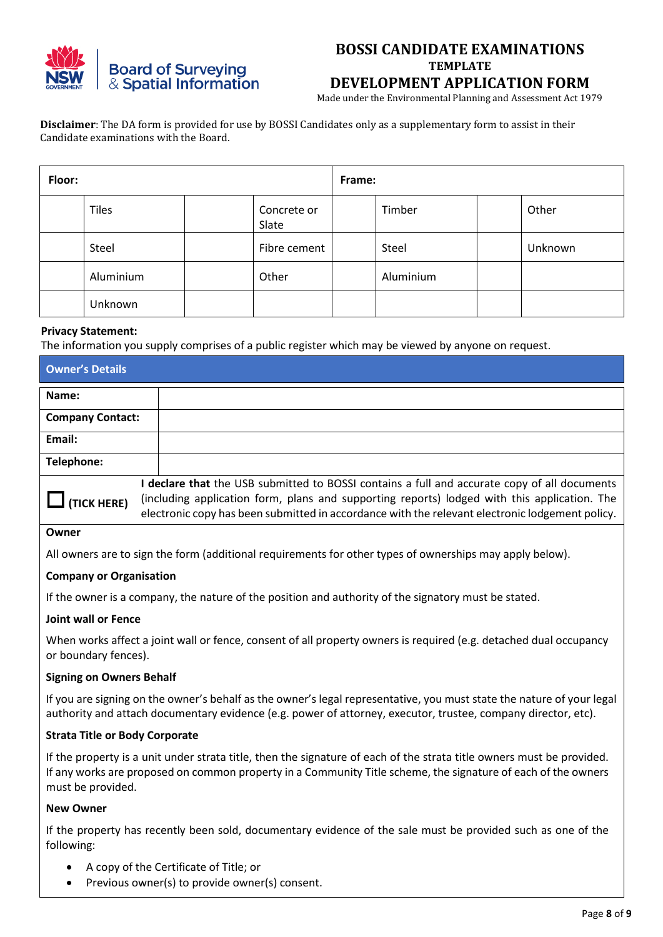

Made under the Environmental Planning and Assessment Act 1979

**Disclaimer**: The DA form is provided for use by BOSSI Candidates only as a supplementary form to assist in their Candidate examinations with the Board.

| Floor: |              |  | Frame:               |  |           |  |         |
|--------|--------------|--|----------------------|--|-----------|--|---------|
|        | <b>Tiles</b> |  | Concrete or<br>Slate |  | Timber    |  | Other   |
|        | Steel        |  | Fibre cement         |  | Steel     |  | Unknown |
|        | Aluminium    |  | Other                |  | Aluminium |  |         |
|        | Unknown      |  |                      |  |           |  |         |

#### **Privacy Statement:**

The information you supply comprises of a public register which may be viewed by anyone on request.

| <b>Owner's Details</b>                                                                                                                                                                                                                                                                                              |  |
|---------------------------------------------------------------------------------------------------------------------------------------------------------------------------------------------------------------------------------------------------------------------------------------------------------------------|--|
| Name:                                                                                                                                                                                                                                                                                                               |  |
| <b>Company Contact:</b>                                                                                                                                                                                                                                                                                             |  |
| Email:                                                                                                                                                                                                                                                                                                              |  |
| Telephone:                                                                                                                                                                                                                                                                                                          |  |
| declare that the USB submitted to BOSSI contains a full and accurate copy of all documents<br>(including application form, plans and supporting reports) lodged with this application. The<br>$\Box$ (TICK HERE)<br>electronic copy has been submitted in accordance with the relevant electronic lodgement policy. |  |

### **Owner**

All owners are to sign the form (additional requirements for other types of ownerships may apply below).

#### **Company or Organisation**

If the owner is a company, the nature of the position and authority of the signatory must be stated.

#### **Joint wall or Fence**

When works affect a joint wall or fence, consent of all property owners is required (e.g. detached dual occupancy or boundary fences).

#### **Signing on Owners Behalf**

If you are signing on the owner's behalf as the owner's legal representative, you must state the nature of your legal authority and attach documentary evidence (e.g. power of attorney, executor, trustee, company director, etc).

#### **Strata Title or Body Corporate**

If the property is a unit under strata title, then the signature of each of the strata title owners must be provided. If any works are proposed on common property in a Community Title scheme, the signature of each of the owners must be provided.

#### **New Owner**

If the property has recently been sold, documentary evidence of the sale must be provided such as one of the following:

- A copy of the Certificate of Title; or
- Previous owner(s) to provide owner(s) consent.